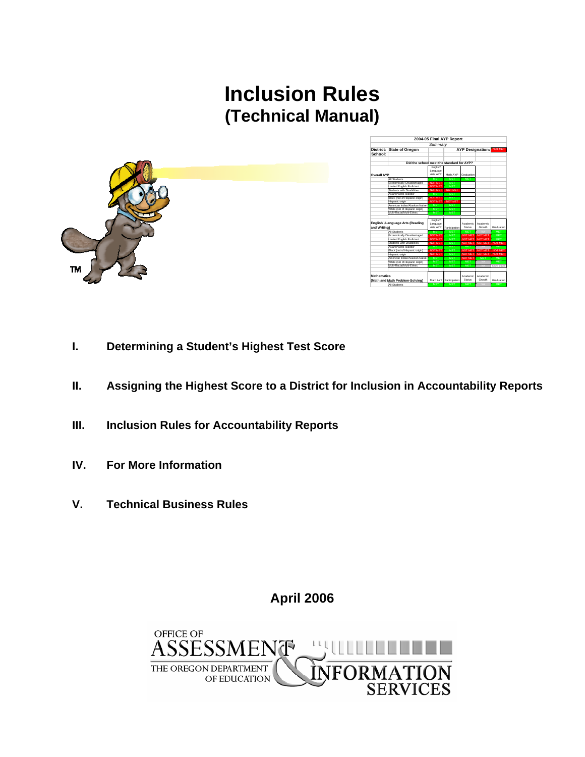# **Inclusion Rules (Technical Manual)**





- **I. Determining a Student's Highest Test Score**
- **II. Assigning the Highest Score to a District for Inclusion in Accountability Reports**
- **III. Inclusion Rules for Accountability Reports**
- **IV. For More Information**
- **V. Technical Business Rules**

**April 2006** 

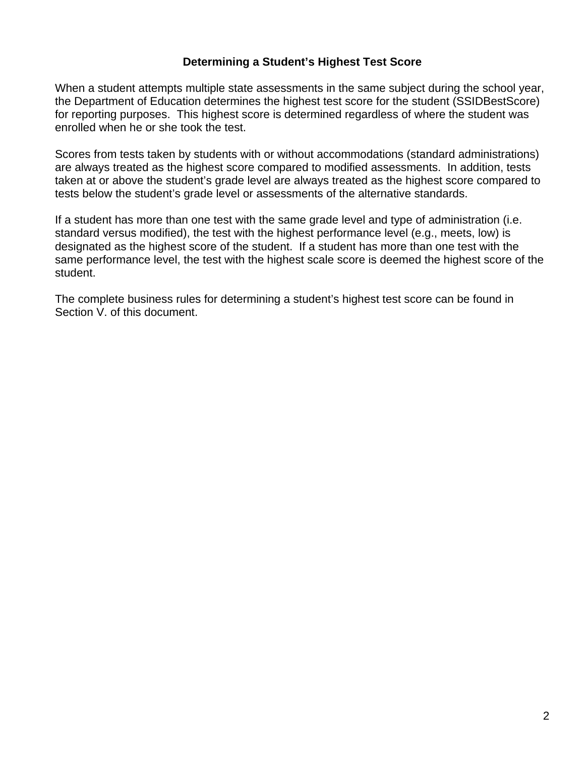## **Determining a Student's Highest Test Score**

When a student attempts multiple state assessments in the same subject during the school year, the Department of Education determines the highest test score for the student (SSIDBestScore) for reporting purposes. This highest score is determined regardless of where the student was enrolled when he or she took the test.

Scores from tests taken by students with or without accommodations (standard administrations) are always treated as the highest score compared to modified assessments. In addition, tests taken at or above the student's grade level are always treated as the highest score compared to tests below the student's grade level or assessments of the alternative standards.

If a student has more than one test with the same grade level and type of administration (i.e. standard versus modified), the test with the highest performance level (e.g., meets, low) is designated as the highest score of the student. If a student has more than one test with the same performance level, the test with the highest scale score is deemed the highest score of the student.

The complete business rules for determining a student's highest test score can be found in Section V. of this document.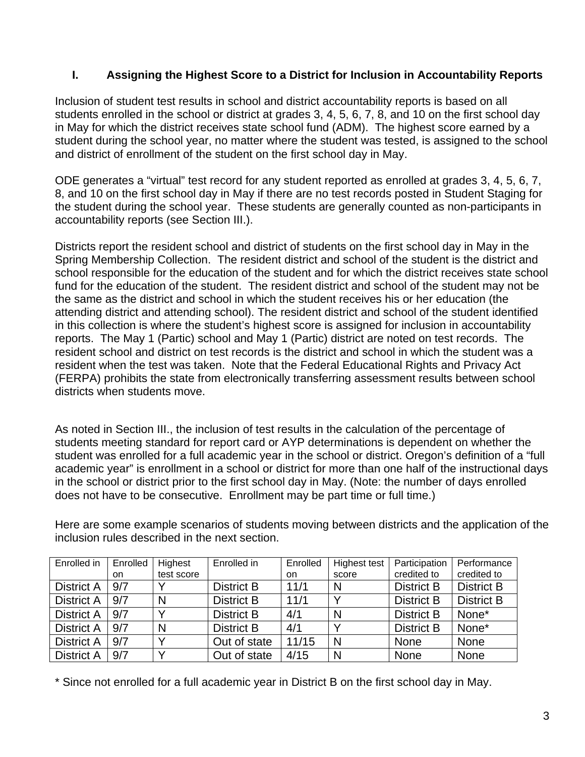# **I. Assigning the Highest Score to a District for Inclusion in Accountability Reports**

Inclusion of student test results in school and district accountability reports is based on all students enrolled in the school or district at grades 3, 4, 5, 6, 7, 8, and 10 on the first school day in May for which the district receives state school fund (ADM). The highest score earned by a student during the school year, no matter where the student was tested, is assigned to the school and district of enrollment of the student on the first school day in May.

ODE generates a "virtual" test record for any student reported as enrolled at grades 3, 4, 5, 6, 7, 8, and 10 on the first school day in May if there are no test records posted in Student Staging for the student during the school year. These students are generally counted as non-participants in accountability reports (see Section III.).

Districts report the resident school and district of students on the first school day in May in the Spring Membership Collection. The resident district and school of the student is the district and school responsible for the education of the student and for which the district receives state school fund for the education of the student. The resident district and school of the student may not be the same as the district and school in which the student receives his or her education (the attending district and attending school). The resident district and school of the student identified in this collection is where the student's highest score is assigned for inclusion in accountability reports. The May 1 (Partic) school and May 1 (Partic) district are noted on test records. The resident school and district on test records is the district and school in which the student was a resident when the test was taken. Note that the Federal Educational Rights and Privacy Act (FERPA) prohibits the state from electronically transferring assessment results between school districts when students move.

As noted in Section III., the inclusion of test results in the calculation of the percentage of students meeting standard for report card or AYP determinations is dependent on whether the student was enrolled for a full academic year in the school or district. Oregon's definition of a "full academic year" is enrollment in a school or district for more than one half of the instructional days in the school or district prior to the first school day in May. (Note: the number of days enrolled does not have to be consecutive. Enrollment may be part time or full time.)

| Enrolled in       | Enrolled | Highest    | Enrolled in       | Enrolled  | Highest test | Participation     | Performance       |
|-------------------|----------|------------|-------------------|-----------|--------------|-------------------|-------------------|
|                   | on       | test score |                   | <b>on</b> | score        | credited to       | credited to       |
| <b>District A</b> | 9/7      |            | <b>District B</b> | 11/1      | N            | <b>District B</b> | <b>District B</b> |
| <b>District A</b> | 9/7      | N          | <b>District B</b> | 11/1      | $\checkmark$ | <b>District B</b> | <b>District B</b> |
| <b>District A</b> | 9/7      |            | <b>District B</b> | 4/1       | N            | <b>District B</b> | None*             |
| <b>District A</b> | 9/7      | N          | <b>District B</b> | 4/1       |              | <b>District B</b> | None*             |
| <b>District A</b> | 9/7      |            | Out of state      | 11/15     | N            | None              | None              |
| <b>District A</b> | 9/7      |            | Out of state      | 4/15      | N            | <b>None</b>       | None              |

Here are some example scenarios of students moving between districts and the application of the inclusion rules described in the next section.

\* Since not enrolled for a full academic year in District B on the first school day in May.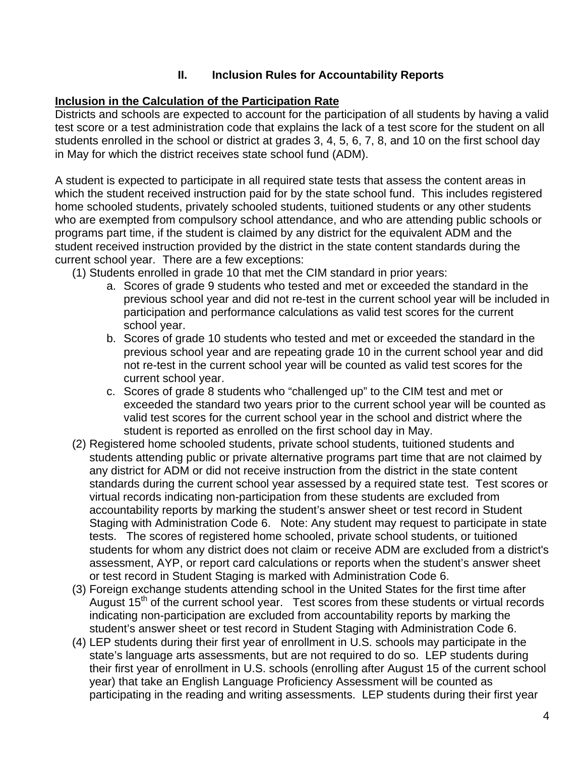# **II. Inclusion Rules for Accountability Reports**

## **Inclusion in the Calculation of the Participation Rate**

Districts and schools are expected to account for the participation of all students by having a valid test score or a test administration code that explains the lack of a test score for the student on all students enrolled in the school or district at grades 3, 4, 5, 6, 7, 8, and 10 on the first school day in May for which the district receives state school fund (ADM).

A student is expected to participate in all required state tests that assess the content areas in which the student received instruction paid for by the state school fund. This includes registered home schooled students, privately schooled students, tuitioned students or any other students who are exempted from compulsory school attendance, and who are attending public schools or programs part time, if the student is claimed by any district for the equivalent ADM and the student received instruction provided by the district in the state content standards during the current school year. There are a few exceptions:

- (1) Students enrolled in grade 10 that met the CIM standard in prior years:
	- a. Scores of grade 9 students who tested and met or exceeded the standard in the previous school year and did not re-test in the current school year will be included in participation and performance calculations as valid test scores for the current school year.
	- b. Scores of grade 10 students who tested and met or exceeded the standard in the previous school year and are repeating grade 10 in the current school year and did not re-test in the current school year will be counted as valid test scores for the current school year.
	- c. Scores of grade 8 students who "challenged up" to the CIM test and met or exceeded the standard two years prior to the current school year will be counted as valid test scores for the current school year in the school and district where the student is reported as enrolled on the first school day in May.
- (2) Registered home schooled students, private school students, tuitioned students and students attending public or private alternative programs part time that are not claimed by any district for ADM or did not receive instruction from the district in the state content standards during the current school year assessed by a required state test. Test scores or virtual records indicating non-participation from these students are excluded from accountability reports by marking the student's answer sheet or test record in Student Staging with Administration Code 6. Note: Any student may request to participate in state tests. The scores of registered home schooled, private school students, or tuitioned students for whom any district does not claim or receive ADM are excluded from a district's assessment, AYP, or report card calculations or reports when the student's answer sheet or test record in Student Staging is marked with Administration Code 6.
- (3) Foreign exchange students attending school in the United States for the first time after August 15<sup>th</sup> of the current school year. Test scores from these students or virtual records indicating non-participation are excluded from accountability reports by marking the student's answer sheet or test record in Student Staging with Administration Code 6.
- (4) LEP students during their first year of enrollment in U.S. schools may participate in the state's language arts assessments, but are not required to do so. LEP students during their first year of enrollment in U.S. schools (enrolling after August 15 of the current school year) that take an English Language Proficiency Assessment will be counted as participating in the reading and writing assessments. LEP students during their first year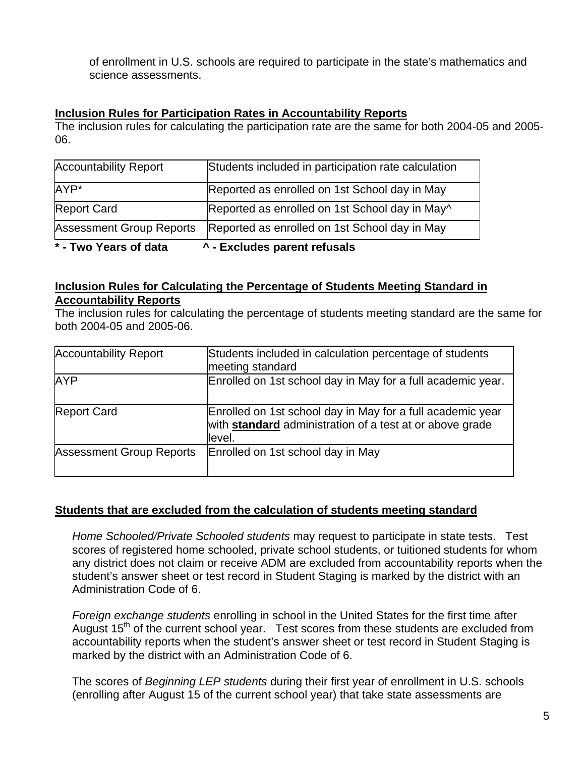of enrollment in U.S. schools are required to participate in the state's mathematics and science assessments.

#### **Inclusion Rules for Participation Rates in Accountability Reports**

The inclusion rules for calculating the participation rate are the same for both 2004-05 and 2005- 06.

| ^ - Excludes parent refusals<br>* - Two Years of data |                                                     |  |  |  |
|-------------------------------------------------------|-----------------------------------------------------|--|--|--|
| <b>Assessment Group Reports</b>                       | Reported as enrolled on 1st School day in May       |  |  |  |
| <b>Report Card</b>                                    | Reported as enrolled on 1st School day in May^      |  |  |  |
| AYP*                                                  | Reported as enrolled on 1st School day in May       |  |  |  |
| <b>Accountability Report</b>                          | Students included in participation rate calculation |  |  |  |

#### **Inclusion Rules for Calculating the Percentage of Students Meeting Standard in Accountability Reports**

The inclusion rules for calculating the percentage of students meeting standard are the same for both 2004-05 and 2005-06.

| <b>Accountability Report</b>    | Students included in calculation percentage of students<br>meeting standard                                                             |
|---------------------------------|-----------------------------------------------------------------------------------------------------------------------------------------|
| <b>AYP</b>                      | Enrolled on 1st school day in May for a full academic year.                                                                             |
| <b>Report Card</b>              | Enrolled on 1st school day in May for a full academic year<br>with <b>standard</b> administration of a test at or above grade<br>level. |
| <b>Assessment Group Reports</b> | Enrolled on 1st school day in May                                                                                                       |

## **Students that are excluded from the calculation of students meeting standard**

*Home Schooled/Private Schooled students* may request to participate in state tests. Test scores of registered home schooled, private school students, or tuitioned students for whom any district does not claim or receive ADM are excluded from accountability reports when the student's answer sheet or test record in Student Staging is marked by the district with an Administration Code of 6.

*Foreign exchange students* enrolling in school in the United States for the first time after August 15th of the current school year. Test scores from these students are excluded from accountability reports when the student's answer sheet or test record in Student Staging is marked by the district with an Administration Code of 6.

The scores of *Beginning LEP students* during their first year of enrollment in U.S. schools (enrolling after August 15 of the current school year) that take state assessments are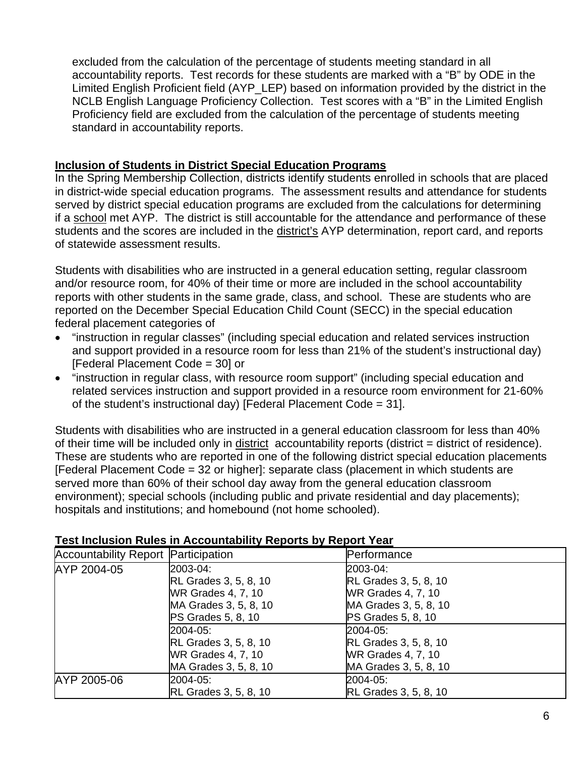excluded from the calculation of the percentage of students meeting standard in all accountability reports. Test records for these students are marked with a "B" by ODE in the Limited English Proficient field (AYP\_LEP) based on information provided by the district in the NCLB English Language Proficiency Collection. Test scores with a "B" in the Limited English Proficiency field are excluded from the calculation of the percentage of students meeting standard in accountability reports.

## **Inclusion of Students in District Special Education Programs**

In the Spring Membership Collection, districts identify students enrolled in schools that are placed in district-wide special education programs. The assessment results and attendance for students served by district special education programs are excluded from the calculations for determining if a school met AYP. The district is still accountable for the attendance and performance of these students and the scores are included in the district's AYP determination, report card, and reports of statewide assessment results.

Students with disabilities who are instructed in a general education setting, regular classroom and/or resource room, for 40% of their time or more are included in the school accountability reports with other students in the same grade, class, and school. These are students who are reported on the December Special Education Child Count (SECC) in the special education federal placement categories of

- "instruction in regular classes" (including special education and related services instruction and support provided in a resource room for less than 21% of the student's instructional day) [Federal Placement Code = 30] or
- "instruction in regular class, with resource room support" (including special education and related services instruction and support provided in a resource room environment for 21-60% of the student's instructional day) [Federal Placement Code = 31].

Students with disabilities who are instructed in a general education classroom for less than 40% of their time will be included only in district accountability reports (district = district of residence). These are students who are reported in one of the following district special education placements [Federal Placement Code = 32 or higher]: separate class (placement in which students are served more than 60% of their school day away from the general education classroom environment); special schools (including public and private residential and day placements); hospitals and institutions; and homebound (not home schooled).

| <b>Accountability Report Participation</b> |                              | Performance                  |
|--------------------------------------------|------------------------------|------------------------------|
| AYP 2004-05                                | 2003-04:                     | 2003-04:                     |
|                                            | <b>RL Grades 3, 5, 8, 10</b> | <b>RL Grades 3, 5, 8, 10</b> |
|                                            | WR Grades 4, 7, 10           | <b>WR Grades 4, 7, 10</b>    |
|                                            | MA Grades 3, 5, 8, 10        | MA Grades 3, 5, 8, 10        |
|                                            | PS Grades 5, 8, 10           | <b>PS Grades 5, 8, 10</b>    |
|                                            | 2004-05:                     | 2004-05:                     |
|                                            | <b>RL Grades 3, 5, 8, 10</b> | <b>RL Grades 3, 5, 8, 10</b> |
|                                            | WR Grades 4, 7, 10           | <b>WR Grades 4, 7, 10</b>    |
|                                            | MA Grades 3, 5, 8, 10        | MA Grades 3, 5, 8, 10        |
| AYP 2005-06                                | 2004-05:                     | 2004-05:                     |
|                                            | RL Grades 3, 5, 8, 10        | <b>RL Grades 3, 5, 8, 10</b> |

#### **Test Inclusion Rules in Accountability Reports by Report Year**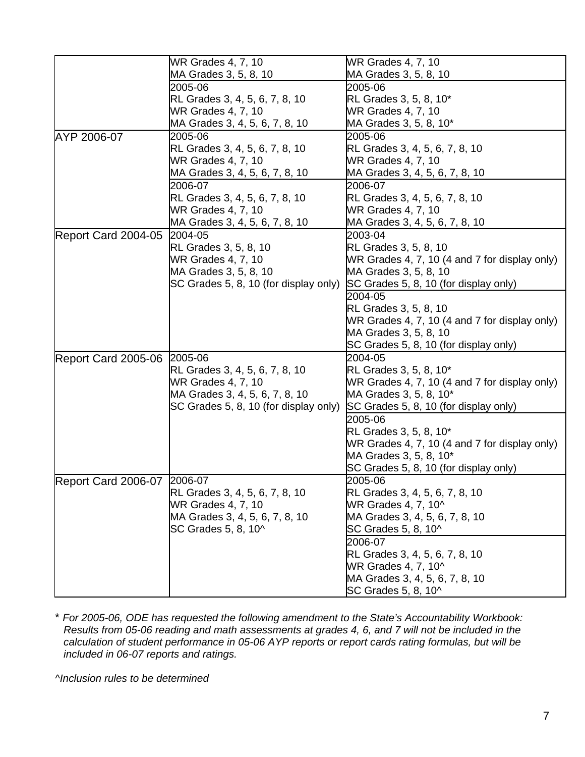|                             | <b>WR Grades 4, 7, 10</b>             | WR Grades 4, 7, 10                                    |
|-----------------------------|---------------------------------------|-------------------------------------------------------|
|                             | MA Grades 3, 5, 8, 10                 | MA Grades 3, 5, 8, 10                                 |
|                             | 2005-06                               | 2005-06                                               |
|                             | RL Grades 3, 4, 5, 6, 7, 8, 10        | RL Grades 3, 5, 8, 10*                                |
|                             | <b>WR Grades 4, 7, 10</b>             | WR Grades 4, 7, 10                                    |
|                             | MA Grades 3, 4, 5, 6, 7, 8, 10        | MA Grades 3, 5, 8, 10*                                |
| AYP 2006-07                 | 2005-06                               | 2005-06                                               |
|                             | RL Grades 3, 4, 5, 6, 7, 8, 10        | RL Grades 3, 4, 5, 6, 7, 8, 10                        |
|                             | <b>WR Grades 4, 7, 10</b>             | <b>WR Grades 4, 7, 10</b>                             |
|                             | MA Grades 3, 4, 5, 6, 7, 8, 10        | MA Grades 3, 4, 5, 6, 7, 8, 10                        |
|                             | 2006-07                               | 2006-07                                               |
|                             | RL Grades 3, 4, 5, 6, 7, 8, 10        | RL Grades 3, 4, 5, 6, 7, 8, 10                        |
|                             | WR Grades 4, 7, 10                    | <b>WR Grades 4, 7, 10</b>                             |
|                             | MA Grades 3, 4, 5, 6, 7, 8, 10        | MA Grades 3, 4, 5, 6, 7, 8, 10                        |
| Report Card 2004-05         | 2004-05                               | 2003-04                                               |
|                             | RL Grades 3, 5, 8, 10                 | RL Grades 3, 5, 8, 10                                 |
|                             | <b>WR Grades 4, 7, 10</b>             | WR Grades 4, 7, 10 (4 and 7 for display only)         |
|                             | MA Grades 3, 5, 8, 10                 | MA Grades 3, 5, 8, 10                                 |
|                             | SC Grades 5, 8, 10 (for display only) | SC Grades 5, 8, 10 (for display only)                 |
|                             |                                       | 2004-05                                               |
|                             |                                       |                                                       |
|                             |                                       | RL Grades 3, 5, 8, 10                                 |
|                             |                                       | WR Grades 4, 7, 10 (4 and 7 for display only)         |
|                             |                                       | MA Grades 3, 5, 8, 10                                 |
|                             |                                       | SC Grades 5, 8, 10 (for display only)                 |
| Report Card 2005-06 2005-06 |                                       | 2004-05                                               |
|                             | RL Grades 3, 4, 5, 6, 7, 8, 10        | RL Grades 3, 5, 8, 10*                                |
|                             | WR Grades 4, 7, 10                    | WR Grades 4, 7, 10 (4 and 7 for display only)         |
|                             | MA Grades 3, 4, 5, 6, 7, 8, 10        | MA Grades 3, 5, 8, 10*                                |
|                             | SC Grades 5, 8, 10 (for display only) | SC Grades 5, 8, 10 (for display only)                 |
|                             |                                       | 2005-06                                               |
|                             |                                       | RL Grades 3, 5, 8, 10*                                |
|                             |                                       | WR Grades 4, 7, 10 (4 and 7 for display only)         |
|                             |                                       | MA Grades 3, 5, 8, 10*                                |
|                             |                                       | SC Grades 5, 8, 10 (for display only)                 |
| Report Card 2006-07 2006-07 |                                       | 2005-06                                               |
|                             | <b>RL Grades 3, 4, 5, 6, 7, 8, 10</b> | RL Grades 3, 4, 5, 6, 7, 8, 10                        |
|                             | WR Grades 4, 7, 10                    | WR Grades 4, 7, 10^                                   |
|                             | MA Grades 3, 4, 5, 6, 7, 8, 10        | MA Grades 3, 4, 5, 6, 7, 8, 10                        |
|                             | SC Grades 5, 8, 10^                   | SC Grades 5, 8, 10^                                   |
|                             |                                       | 2006-07                                               |
|                             |                                       |                                                       |
|                             |                                       | RL Grades 3, 4, 5, 6, 7, 8, 10<br>WR Grades 4, 7, 10^ |
|                             |                                       |                                                       |
|                             |                                       | MA Grades 3, 4, 5, 6, 7, 8, 10                        |
|                             |                                       | SC Grades 5, 8, 10^                                   |

\* *For 2005-06, ODE has requested the following amendment to the State's Accountability Workbook: Results from 05-06 reading and math assessments at grades 4, 6, and 7 will not be included in the calculation of student performance in 05-06 AYP reports or report cards rating formulas, but will be included in 06-07 reports and ratings.* 

*^Inclusion rules to be determined*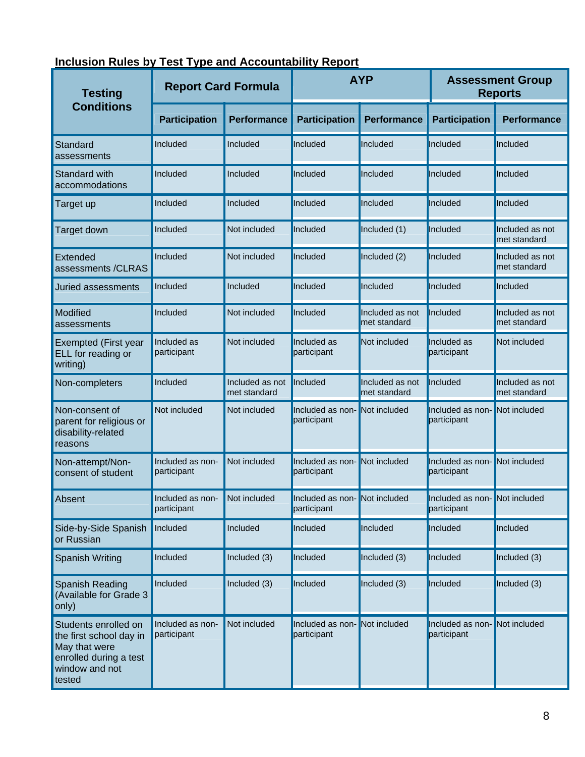|  |  |  | Inclusion Rules by Test Type and Accountability Report |
|--|--|--|--------------------------------------------------------|
|--|--|--|--------------------------------------------------------|

| <b>Testing</b>                                                                                                         | <b>Report Card Formula</b>      |                                 | <b>AYP</b>                                  |                                 | <b>Assessment Group</b><br><b>Reports</b>   |                                 |
|------------------------------------------------------------------------------------------------------------------------|---------------------------------|---------------------------------|---------------------------------------------|---------------------------------|---------------------------------------------|---------------------------------|
| <b>Conditions</b>                                                                                                      | <b>Participation</b>            | <b>Performance</b>              | <b>Participation</b>                        | <b>Performance</b>              | <b>Participation</b>                        | <b>Performance</b>              |
| Standard<br>assessments                                                                                                | Included                        | Included                        | Included                                    | Included                        | Included                                    | Included                        |
| <b>Standard with</b><br>accommodations                                                                                 | Included                        | Included                        | Included                                    | Included                        | Included                                    | Included                        |
| Target up                                                                                                              | Included                        | Included                        | Included                                    | Included                        | Included                                    | Included                        |
| Target down                                                                                                            | Included                        | Not included                    | Included                                    | Included (1)                    | Included                                    | Included as not<br>met standard |
| Extended<br>assessments /CLRAS                                                                                         | Included                        | Not included                    | Included                                    | Included (2)                    | Included                                    | Included as not<br>met standard |
| Juried assessments                                                                                                     | Included                        | Included                        | Included                                    | Included                        | Included                                    | Included                        |
| Modified<br>assessments                                                                                                | Included                        | Not included                    | Included                                    | Included as not<br>met standard | Included                                    | Included as not<br>met standard |
| Exempted (First year<br>ELL for reading or<br>writing)                                                                 | Included as<br>participant      | Not included                    | Included as<br>participant                  | Not included                    | Included as<br>participant                  | Not included                    |
| Non-completers                                                                                                         | Included                        | Included as not<br>met standard | Included                                    | Included as not<br>met standard | Included                                    | Included as not<br>met standard |
| Non-consent of<br>parent for religious or<br>disability-related<br>reasons                                             | Not included                    | Not included                    | Included as non-<br>participant             | Not included                    | Included as non-<br>participant             | Not included                    |
| Non-attempt/Non-<br>consent of student                                                                                 | Included as non-<br>participant | Not included                    | Included as non-<br>participant             | Not included                    | Included as non-<br>participant             | Not included                    |
| Absent                                                                                                                 | Included as non-<br>participant | Not included                    | Included as non-Not included<br>participant |                                 | Included as non-Not included<br>participant |                                 |
| Side-by-Side Spanish<br>or Russian                                                                                     | Included                        | Included                        | Included                                    | Included                        | Included                                    | Included                        |
| <b>Spanish Writing</b>                                                                                                 | Included                        | Included (3)                    | Included                                    | Included (3)                    | Included                                    | Included (3)                    |
| Spanish Reading<br>(Available for Grade 3<br>only)                                                                     | Included                        | Included (3)                    | Included                                    | Included (3)                    | Included                                    | Included (3)                    |
| Students enrolled on<br>the first school day in<br>May that were<br>enrolled during a test<br>window and not<br>tested | Included as non-<br>participant | Not included                    | Included as non-<br>participant             | Not included                    | Included as non-<br>participant             | Not included                    |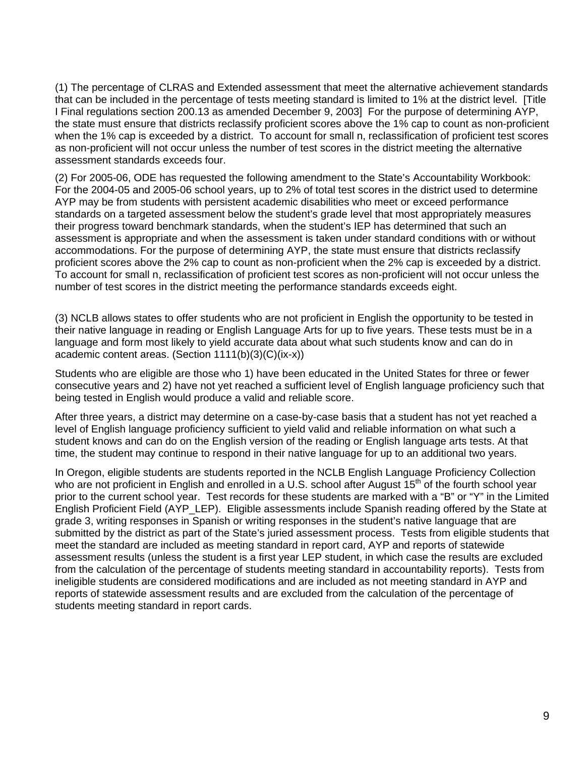(1) The percentage of CLRAS and Extended assessment that meet the alternative achievement standards that can be included in the percentage of tests meeting standard is limited to 1% at the district level. [Title I Final regulations section 200.13 as amended December 9, 2003] For the purpose of determining AYP, the state must ensure that districts reclassify proficient scores above the 1% cap to count as non-proficient when the 1% cap is exceeded by a district. To account for small n, reclassification of proficient test scores as non-proficient will not occur unless the number of test scores in the district meeting the alternative assessment standards exceeds four.

(2) For 2005-06, ODE has requested the following amendment to the State's Accountability Workbook: For the 2004-05 and 2005-06 school years, up to 2% of total test scores in the district used to determine AYP may be from students with persistent academic disabilities who meet or exceed performance standards on a targeted assessment below the student's grade level that most appropriately measures their progress toward benchmark standards, when the student's IEP has determined that such an assessment is appropriate and when the assessment is taken under standard conditions with or without accommodations. For the purpose of determining AYP, the state must ensure that districts reclassify proficient scores above the 2% cap to count as non-proficient when the 2% cap is exceeded by a district. To account for small n, reclassification of proficient test scores as non-proficient will not occur unless the number of test scores in the district meeting the performance standards exceeds eight.

(3) NCLB allows states to offer students who are not proficient in English the opportunity to be tested in their native language in reading or English Language Arts for up to five years. These tests must be in a language and form most likely to yield accurate data about what such students know and can do in academic content areas. (Section 1111(b)(3)(C)(ix-x))

Students who are eligible are those who 1) have been educated in the United States for three or fewer consecutive years and 2) have not yet reached a sufficient level of English language proficiency such that being tested in English would produce a valid and reliable score.

After three years, a district may determine on a case-by-case basis that a student has not yet reached a level of English language proficiency sufficient to yield valid and reliable information on what such a student knows and can do on the English version of the reading or English language arts tests. At that time, the student may continue to respond in their native language for up to an additional two years.

In Oregon, eligible students are students reported in the NCLB English Language Proficiency Collection who are not proficient in English and enrolled in a U.S. school after August 15<sup>th</sup> of the fourth school year prior to the current school year. Test records for these students are marked with a "B" or "Y" in the Limited English Proficient Field (AYP\_LEP). Eligible assessments include Spanish reading offered by the State at grade 3, writing responses in Spanish or writing responses in the student's native language that are submitted by the district as part of the State's juried assessment process. Tests from eligible students that meet the standard are included as meeting standard in report card, AYP and reports of statewide assessment results (unless the student is a first year LEP student, in which case the results are excluded from the calculation of the percentage of students meeting standard in accountability reports). Tests from ineligible students are considered modifications and are included as not meeting standard in AYP and reports of statewide assessment results and are excluded from the calculation of the percentage of students meeting standard in report cards.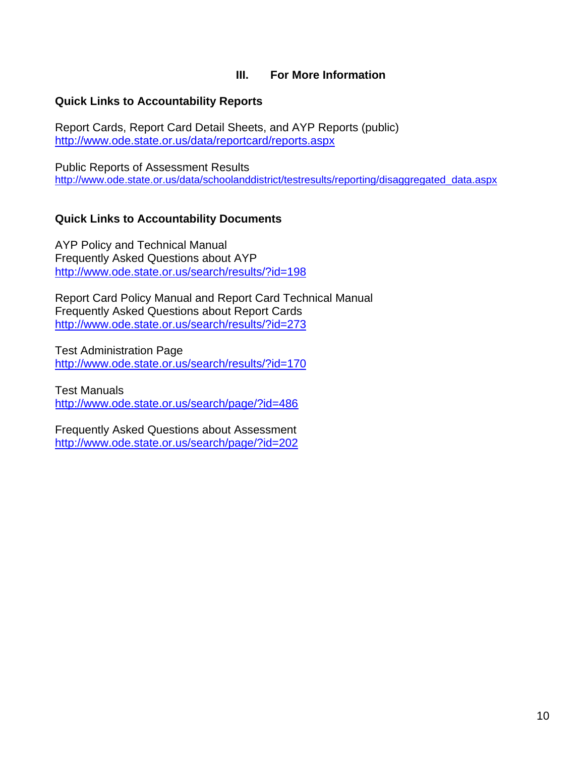## **III. For More Information**

#### **Quick Links to Accountability Reports**

Report Cards, Report Card Detail Sheets, and AYP Reports (public) <http://www.ode.state.or.us/data/reportcard/reports.aspx>

Public Reports of Assessment Results [http://www.ode.state.or.us/data/schoolanddistrict/testresults/reporting/disaggregated\\_data.aspx](http://www.ode.state.or.us/data/schoolanddistrict/testresults/reporting/disaggregated_data.aspx)

### **Quick Links to Accountability Documents**

AYP Policy and Technical Manual Frequently Asked Questions about AYP <http://www.ode.state.or.us/search/results/?id=198>

Report Card Policy Manual and Report Card Technical Manual Frequently Asked Questions about Report Cards <http://www.ode.state.or.us/search/results/?id=273>

Test Administration Page <http://www.ode.state.or.us/search/results/?id=170>

Test Manuals [http://www.ode.state.or.us/search/](http://www.ode.state.or.us/search/page/?id=486)page/?id=486

Frequently Asked Questions about Assessment <http://www.ode.state.or.us/search/page/?id=202>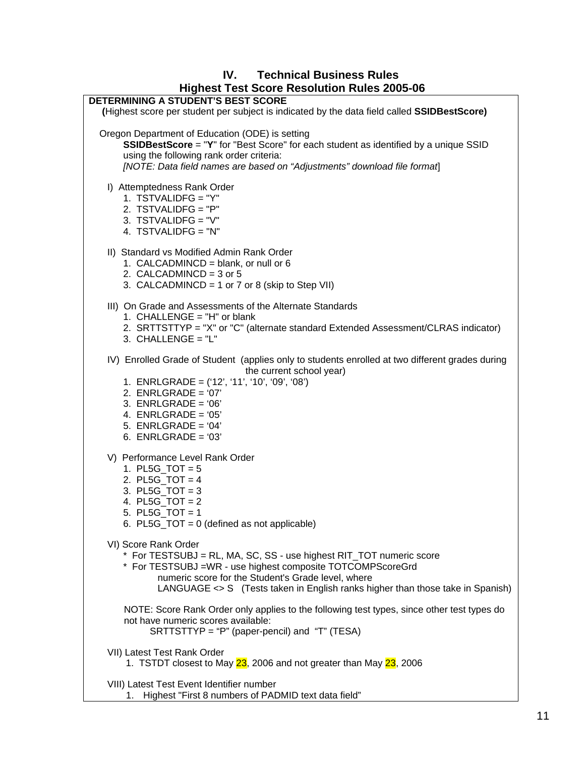#### **IV. Technical Business Rules Highest Test Score Resolution Rules 2005-06**



VIII) Latest Test Event Identifier number

1. Highest "First 8 numbers of PADMID text data field"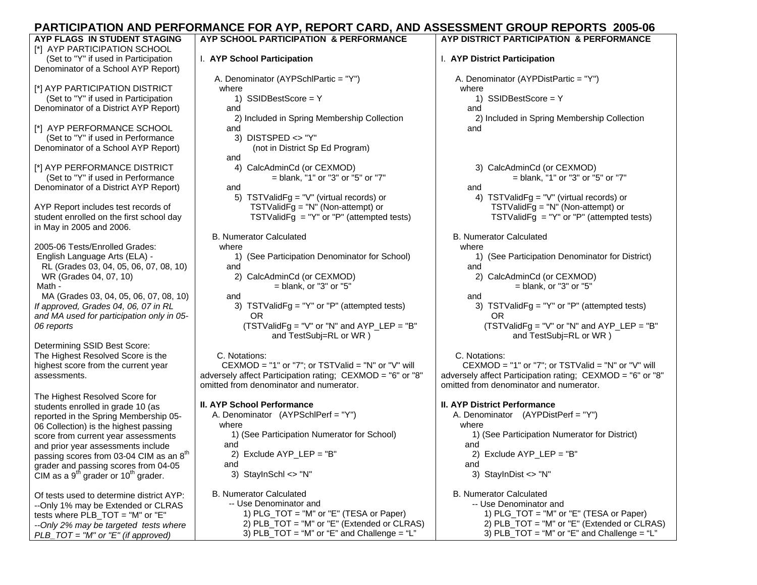# **PARTICIPATION AND PERFORMANCE FOR AYP, REPORT CARD, AND ASSESSMENT GROUP REPORTS 2005-06**

| AYP FLAGS IN STUDENT STAGING<br>[*] AYP PARTICIPATION SCHOOL         | AYP SCHOOL PARTICIPATION & PERFORMANCE                     | AYP DISTRICT PARTICIPATION & PERFORMANCE                   |
|----------------------------------------------------------------------|------------------------------------------------------------|------------------------------------------------------------|
| (Set to "Y" if used in Participation                                 | I. AYP School Participation                                | I. AYP District Participation                              |
| Denominator of a School AYP Report)                                  |                                                            |                                                            |
| [*] AYP PARTICIPATION DISTRICT                                       | A. Denominator (AYPSchlPartic = "Y")                       | A. Denominator (AYPDistPartic = "Y")<br>where              |
| (Set to "Y" if used in Participation                                 | where<br>1) $SSIDBestScore = Y$                            | 1) SSIDBestScore = Y                                       |
| Denominator of a District AYP Report)                                | and                                                        | and                                                        |
|                                                                      | 2) Included in Spring Membership Collection                | 2) Included in Spring Membership Collection                |
| [*] AYP PERFORMANCE SCHOOL                                           | and                                                        | and                                                        |
| (Set to "Y" if used in Performance                                   | 3) DISTSPED <> "Y"                                         |                                                            |
| Denominator of a School AYP Report)                                  | (not in District Sp Ed Program)                            |                                                            |
|                                                                      | and                                                        |                                                            |
| [*] AYP PERFORMANCE DISTRICT                                         | 4) CalcAdminCd (or CEXMOD)                                 | 3) CalcAdminCd (or CEXMOD)                                 |
| (Set to "Y" if used in Performance                                   | $=$ blank, "1" or "3" or "5" or "7"                        | $=$ blank, "1" or "3" or "5" or "7"                        |
| Denominator of a District AYP Report)                                | and                                                        | and                                                        |
|                                                                      | 5) TSTValidFg = "V" (virtual records) or                   | 4) TSTValidFg = "V" (virtual records) or                   |
| AYP Report includes test records of                                  | TSTValidFg = $"N"$ (Non-attempt) or                        | TSTValid $\overline{F}g = "N"$ (Non-attempt) or            |
| student enrolled on the first school day<br>in May in 2005 and 2006. | TSTValidFg = "Y" or "P" (attempted tests)                  | TSTValidFg = "Y" or "P" (attempted tests)                  |
|                                                                      | <b>B. Numerator Calculated</b>                             | <b>B. Numerator Calculated</b>                             |
| 2005-06 Tests/Enrolled Grades:                                       | where                                                      | where                                                      |
| English Language Arts (ELA) -                                        | 1) (See Participation Denominator for School)              | 1) (See Participation Denominator for District)            |
| RL (Grades 03, 04, 05, 06, 07, 08, 10)                               | and                                                        | and                                                        |
| WR (Grades 04, 07, 10)                                               | 2) CalcAdminCd (or CEXMOD)                                 | 2) CalcAdminCd (or CEXMOD)                                 |
| Math -                                                               | $=$ blank, or "3" or "5"                                   | $=$ blank, or "3" or "5"                                   |
| MA (Grades 03, 04, 05, 06, 07, 08, 10)                               | and                                                        | and                                                        |
| If approved, Grades 04, 06, 07 in RL                                 | TSTValidFg = "Y" or "P" (attempted tests)<br>3)            | 3) TSTValidFg = "Y" or "P" (attempted tests)               |
| and MA used for participation only in 05-                            | OR.                                                        | OR.                                                        |
| 06 reports                                                           | $(TSTValidFg = "V" or "N" and AYP_LEP = "B"$               | $(TSTValidFg = "V" or "N" and AYP_LEP = "B"$               |
|                                                                      | and TestSubj=RL or WR)                                     | and TestSubj=RL or WR)                                     |
| Determining SSID Best Score:<br>The Highest Resolved Score is the    | C. Notations:                                              | C. Notations:                                              |
| highest score from the current year                                  | CEXMOD = "1" or "7"; or TSTValid = "N" or "V" will         | CEXMOD = "1" or "7"; or TSTValid = "N" or "V" will         |
| assessments.                                                         | adversely affect Participation rating; CEXMOD = "6" or "8" | adversely affect Participation rating; CEXMOD = "6" or "8" |
|                                                                      | omitted from denominator and numerator.                    | omitted from denominator and numerator.                    |
| The Highest Resolved Score for                                       |                                                            |                                                            |
| students enrolled in grade 10 (as                                    | <b>II. AYP School Performance</b>                          | <b>II. AYP District Performance</b>                        |
| reported in the Spring Membership 05-                                | A. Denominator (AYPSchlPerf = "Y")                         | A. Denominator (AYPDistPerf = "Y")                         |
| 06 Collection) is the highest passing                                | where                                                      | where                                                      |
| score from current year assessments                                  | 1) (See Participation Numerator for School)                | 1) (See Participation Numerator for District)              |
| and prior year assessments include                                   | and                                                        | and                                                        |
| passing scores from 03-04 CIM as an $8^{\rm th}$                     | 2) Exclude $AYP$ LEP = "B"                                 | 2) Exclude AYP LEP = $"B"$                                 |
| grader and passing scores from 04-05                                 | and                                                        | and                                                        |
| CIM as a 9 <sup>th</sup> grader or 10 <sup>th</sup> grader.          | 3) StaylnSchl $\le$ "N"                                    | 3) StaylnDist $\langle$ "N"                                |
| Of tests used to determine district AYP:                             | <b>B. Numerator Calculated</b>                             | <b>B. Numerator Calculated</b>                             |
| --Only 1% may be Extended or CLRAS                                   | -- Use Denominator and                                     | -- Use Denominator and                                     |
| tests where PLB_TOT = "M" or "E"                                     | 1) PLG_TOT = "M" or "E" (TESA or Paper)                    | 1) $PLG_TOT = "M"$ or "E" (TESA or Paper)                  |
| --Only 2% may be targeted tests where                                | 2) PLB_TOT = "M" or "E" (Extended or CLRAS)                | 2) PLB_TOT = "M" or "E" (Extended or CLRAS)                |
| $PLB_TOT = "M"$ or "E" (if approved)                                 | 3) $PLB_TOT = "M"$ or "E" and Challenge = "L"              | 3) PLB_TOT = "M" or "E" and Challenge = "L"                |
|                                                                      |                                                            |                                                            |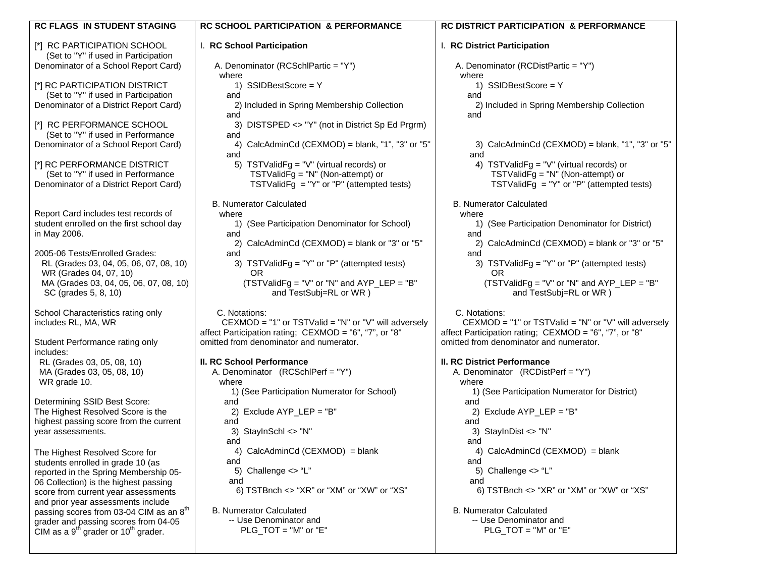| <b>RC FLAGS IN STUDENT STAGING</b>                                                                  | <b>RC SCHOOL PARTICIPATION &amp; PERFORMANCE</b>                                                  | <b>RC DISTRICT PARTICIPATION &amp; PERFORMANCE</b>                                                |  |
|-----------------------------------------------------------------------------------------------------|---------------------------------------------------------------------------------------------------|---------------------------------------------------------------------------------------------------|--|
| [*] RC PARTICIPATION SCHOOL<br>(Set to "Y" if used in Participation                                 | I. RC School Participation                                                                        | I. RC District Participation                                                                      |  |
| Denominator of a School Report Card)                                                                | A. Denominator (RCSchlPartic = "Y")<br>where                                                      | A. Denominator (RCDistPartic = "Y")<br>where                                                      |  |
| [*] RC PARTICIPATION DISTRICT<br>(Set to "Y" if used in Participation                               | 1) $SSIDBestScore = Y$<br>and                                                                     | 1) SSIDBestScore = Y<br>and                                                                       |  |
| Denominator of a District Report Card)                                                              | 2) Included in Spring Membership Collection<br>and                                                | 2) Included in Spring Membership Collection<br>and                                                |  |
| [*] RC PERFORMANCE SCHOOL<br>(Set to "Y" if used in Performance                                     | 3) DISTSPED <> "Y" (not in District Sp Ed Prgrm)<br>and                                           |                                                                                                   |  |
| Denominator of a School Report Card)                                                                | 4) CalcAdminCd (CEXMOD) = blank, "1", "3" or "5"<br>and                                           | 3) CalcAdminCd (CEXMOD) = blank, "1", "3" or "5"<br>and                                           |  |
| [*] RC PERFORMANCE DISTRICT<br>(Set to "Y" if used in Performance                                   | 5) TSTValidFg = "V" (virtual records) or<br>TSTValid $\bar{F}g = "N"$ (Non-attempt) or            | 4) TSTValidFg = "V" (virtual records) or<br>TSTValidFg = $"N"$ (Non-attempt) or                   |  |
| Denominator of a District Report Card)                                                              | TSTValidFg = "Y" or "P" (attempted tests)<br><b>B. Numerator Calculated</b>                       | TSTValidFg = "Y" or "P" (attempted tests)<br><b>B. Numerator Calculated</b>                       |  |
| Report Card includes test records of                                                                | where                                                                                             | where                                                                                             |  |
| student enrolled on the first school day<br>in May 2006.                                            | 1) (See Participation Denominator for School)<br>and                                              | 1) (See Participation Denominator for District)<br>and                                            |  |
| 2005-06 Tests/Enrolled Grades:                                                                      | 2) CalcAdminCd (CEXMOD) = blank or "3" or "5"<br>and                                              | 2) CalcAdminCd (CEXMOD) = blank or "3" or "5"<br>and                                              |  |
| RL (Grades 03, 04, 05, 06, 07, 08, 10)<br>WR (Grades 04, 07, 10)                                    | 3) TSTValidFg = "Y" or "P" (attempted tests)<br>OR                                                | 3) TSTValidFg = "Y" or "P" (attempted tests)<br>0R                                                |  |
| MA (Grades 03, 04, 05, 06, 07, 08, 10)<br>SC (grades 5, 8, 10)                                      | (TSTValidFg = "V" or "N" and AYP_LEP = "B"<br>and TestSubj=RL or WR)                              | (TSTValidFg = "V" or "N" and AYP_LEP = "B"<br>and TestSubj=RL or WR)                              |  |
| School Characteristics rating only<br>includes RL, MA, WR                                           | C. Notations:<br>$CEXMOD = "1"$ or TSTValid = "N" or "V" will adversely                           | C. Notations:<br>$CEXMOD = "1"$ or TSTValid = "N" or "V" will adversely                           |  |
| Student Performance rating only                                                                     | affect Participation rating; CEXMOD = "6", "7", or "8"<br>omitted from denominator and numerator. | affect Participation rating; CEXMOD = "6", "7", or "8"<br>omitted from denominator and numerator. |  |
| includes:<br>RL (Grades 03, 05, 08, 10)                                                             | <b>II. RC School Performance</b>                                                                  | <b>II. RC District Performance</b>                                                                |  |
| MA (Grades 03, 05, 08, 10)                                                                          | A. Denominator (RCSchlPerf = "Y")                                                                 | A. Denominator (RCDistPerf = "Y")                                                                 |  |
| WR grade 10.                                                                                        | where                                                                                             | where                                                                                             |  |
| Determining SSID Best Score:                                                                        | 1) (See Participation Numerator for School)<br>and                                                | 1) (See Participation Numerator for District)<br>and                                              |  |
| The Highest Resolved Score is the                                                                   | 2) Exclude AYP_LEP = "B"                                                                          | 2) Exclude AYP_LEP = "B"                                                                          |  |
| highest passing score from the current<br>year assessments.                                         | and<br>3) StayInSchl <> "N"                                                                       | and<br>3) StayInDist <> "N"                                                                       |  |
| The Highest Resolved Score for                                                                      | and<br>4) CalcAdminCd (CEXMOD) = blank                                                            | and<br>4) CalcAdminCd (CEXMOD) = blank                                                            |  |
| students enrolled in grade 10 (as                                                                   | and                                                                                               | and                                                                                               |  |
| reported in the Spring Membership 05-                                                               | 5) Challenge $\lt$ "L"                                                                            | 5) Challenge $\lt$ "L"                                                                            |  |
| 06 Collection) is the highest passing<br>score from current year assessments                        | and<br>6) TSTBnch <> "XR" or "XM" or "XW" or "XS"                                                 | and<br>6) TSTBnch <> "XR" or "XM" or "XW" or "XS"                                                 |  |
| and prior year assessments include                                                                  |                                                                                                   |                                                                                                   |  |
| passing scores from 03-04 CIM as an 8 <sup>th</sup>                                                 | <b>B. Numerator Calculated</b>                                                                    | <b>B. Numerator Calculated</b>                                                                    |  |
| grader and passing scores from 04-05<br>CIM as a 9 <sup>th</sup> grader or 10 <sup>th</sup> grader. | -- Use Denominator and<br>$PLG_TOT = "M"$ or "E"                                                  | -- Use Denominator and<br>PLG $TOT = "M"$ or $"E"$                                                |  |
|                                                                                                     |                                                                                                   |                                                                                                   |  |